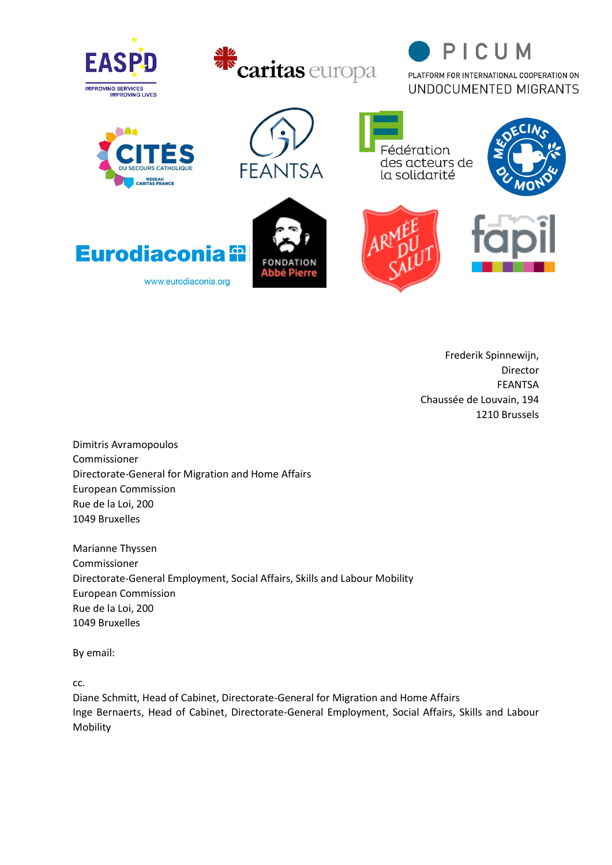





PLATFORM FOR INTERNATIONAL COOPERATION ON UNDOCUMENTED MIGRANTS



**Eurodiaconia 92** 

www.eurodiaconia.org





Fédération des acteurs de

la solidarité



Frederik Spinnewijn, Director FEANTSA Chaussée de Louvain, 194 1210 Brussels

Dimitris Avramopoulos Commissioner Directorate-General for Migration and Home Affairs European Commission Rue de la Loi, 200 1049 Bruxelles

Marianne Thyssen Commissioner Directorate-General Employment, Social Affairs, Skills and Labour Mobility European Commission Rue de la Loi, 200 1049 Bruxelles

By email:

cc.

Diane Schmitt, Head of Cabinet, Directorate-General for Migration and Home Affairs Inge Bernaerts, Head of Cabinet, Directorate-General Employment, Social Affairs, Skills and Labour Mobility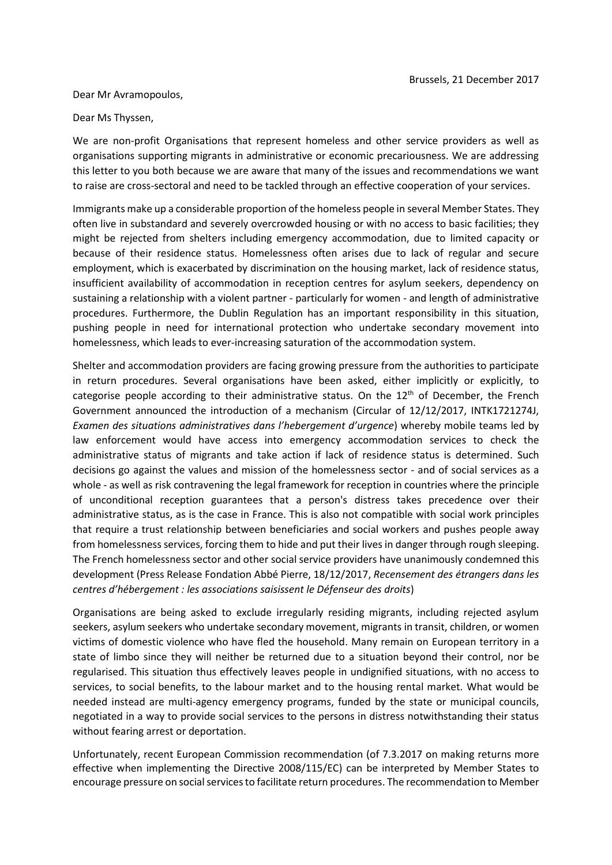## Dear Mr Avramopoulos,

## Dear Ms Thyssen,

We are non-profit Organisations that represent homeless and other service providers as well as organisations supporting migrants in administrative or economic precariousness. We are addressing this letter to you both because we are aware that many of the issues and recommendations we want to raise are cross-sectoral and need to be tackled through an effective cooperation of your services.

Immigrants make up a considerable proportion of the homeless people in several Member States. They often live in substandard and severely overcrowded housing or with no access to basic facilities; they might be rejected from shelters including emergency accommodation, due to limited capacity or because of their residence status. Homelessness often arises due to lack of regular and secure employment, which is exacerbated by discrimination on the housing market, lack of residence status, insufficient availability of accommodation in reception centres for asylum seekers, dependency on sustaining a relationship with a violent partner - particularly for women - and length of administrative procedures. Furthermore, the Dublin Regulation has an important responsibility in this situation, pushing people in need for international protection who undertake secondary movement into homelessness, which leads to ever-increasing saturation of the accommodation system.

Shelter and accommodation providers are facing growing pressure from the authorities to participate in return procedures. Several organisations have been asked, either implicitly or explicitly, to categorise people according to their administrative status. On the  $12<sup>th</sup>$  of December, the French Government announced the introduction of a mechanism (Circular of 12/12/2017, INTK1721274J, *Examen des situations administratives dans l'hebergement d'urgence*) whereby mobile teams led by law enforcement would have access into emergency accommodation services to check the administrative status of migrants and take action if lack of residence status is determined. Such decisions go against the values and mission of the homelessness sector - and of social services as a whole - as well as risk contravening the legal framework for reception in countries where the principle of unconditional reception guarantees that a person's distress takes precedence over their administrative status, as is the case in France. This is also not compatible with social work principles that require a trust relationship between beneficiaries and social workers and pushes people away from homelessness services, forcing them to hide and put their lives in danger through rough sleeping. The French homelessness sector and other social service providers have unanimously condemned this development (Press Release Fondation Abbé Pierre, 18/12/2017, *Recensement des étrangers dans les centres d'hébergement : les associations saisissent le Défenseur des droits*)

Organisations are being asked to exclude irregularly residing migrants, including rejected asylum seekers, asylum seekers who undertake secondary movement, migrants in transit, children, or women victims of domestic violence who have fled the household. Many remain on European territory in a state of limbo since they will neither be returned due to a situation beyond their control, nor be regularised. This situation thus effectively leaves people in undignified situations, with no access to services, to social benefits, to the labour market and to the housing rental market. What would be needed instead are multi-agency emergency programs, funded by the state or municipal councils, negotiated in a way to provide social services to the persons in distress notwithstanding their status without fearing arrest or deportation.

Unfortunately, recent European Commission recommendation (of 7.3.2017 on making returns more effective when implementing the Directive 2008/115/EC) can be interpreted by Member States to encourage pressure on social services to facilitate return procedures. The recommendation to Member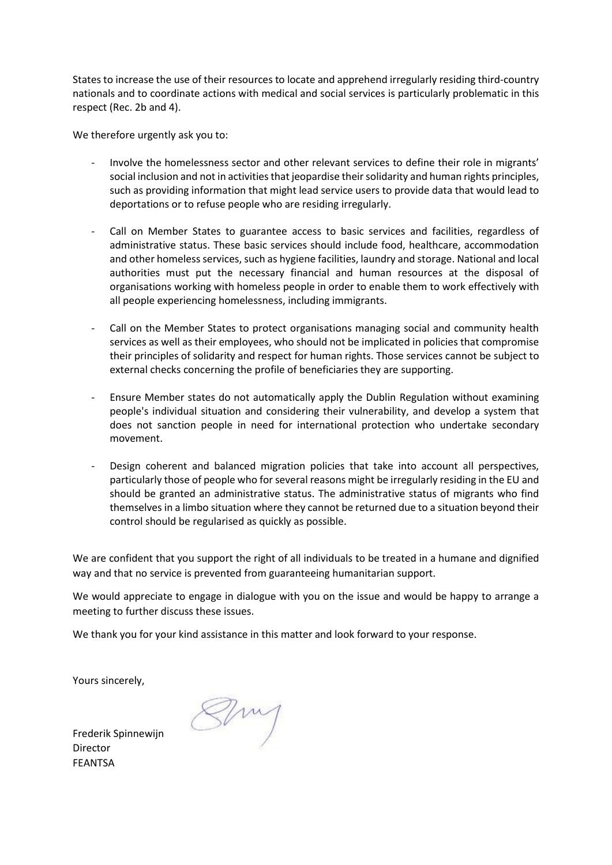States to increase the use of their resources to locate and apprehend irregularly residing third-country nationals and to coordinate actions with medical and social services is particularly problematic in this respect (Rec. 2b and 4).

We therefore urgently ask you to:

- Involve the homelessness sector and other relevant services to define their role in migrants' social inclusion and not in activities that jeopardise their solidarity and human rights principles, such as providing information that might lead service users to provide data that would lead to deportations or to refuse people who are residing irregularly.
- Call on Member States to guarantee access to basic services and facilities, regardless of administrative status. These basic services should include food, healthcare, accommodation and other homeless services, such as hygiene facilities, laundry and storage. National and local authorities must put the necessary financial and human resources at the disposal of organisations working with homeless people in order to enable them to work effectively with all people experiencing homelessness, including immigrants.
- Call on the Member States to protect organisations managing social and community health services as well as their employees, who should not be implicated in policies that compromise their principles of solidarity and respect for human rights. Those services cannot be subject to external checks concerning the profile of beneficiaries they are supporting.
- Ensure Member states do not automatically apply the Dublin Regulation without examining people's individual situation and considering their vulnerability, and develop a system that does not sanction people in need for international protection who undertake secondary movement.
- Design coherent and balanced migration policies that take into account all perspectives, particularly those of people who for several reasons might be irregularly residing in the EU and should be granted an administrative status. The administrative status of migrants who find themselves in a limbo situation where they cannot be returned due to a situation beyond their control should be regularised as quickly as possible.

We are confident that you support the right of all individuals to be treated in a humane and dignified way and that no service is prevented from guaranteeing humanitarian support.

We would appreciate to engage in dialogue with you on the issue and would be happy to arrange a meeting to further discuss these issues.

We thank you for your kind assistance in this matter and look forward to your response.

Yours sincerely,

Frederik Spinnewijn Director FEANTSA

 $\leq$   $\sim$   $\sim$